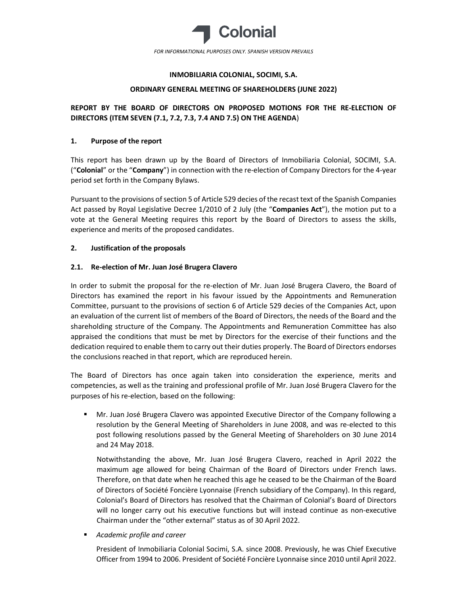

## INMOBILIARIA COLONIAL, SOCIMI, S.A.

### ORDINARY GENERAL MEETING OF SHAREHOLDERS (JUNE 2022)

# REPORT BY THE BOARD OF DIRECTORS ON PROPOSED MOTIONS FOR THE RE-ELECTION OF DIRECTORS (ITEM SEVEN (7.1, 7.2, 7.3, 7.4 AND 7.5) ON THE AGENDA)

### 1. Purpose of the report

This report has been drawn up by the Board of Directors of Inmobiliaria Colonial, SOCIMI, S.A. ("Colonial" or the "Company") in connection with the re-election of Company Directors for the 4-year period set forth in the Company Bylaws.

Pursuant to the provisions of section 5 of Article 529 decies of the recast text of the Spanish Companies Act passed by Royal Legislative Decree 1/2010 of 2 July (the "Companies Act"), the motion put to a vote at the General Meeting requires this report by the Board of Directors to assess the skills, experience and merits of the proposed candidates.

### 2. Justification of the proposals

### 2.1. Re-election of Mr. Juan José Brugera Clavero

In order to submit the proposal for the re-election of Mr. Juan José Brugera Clavero, the Board of Directors has examined the report in his favour issued by the Appointments and Remuneration Committee, pursuant to the provisions of section 6 of Article 529 decies of the Companies Act, upon an evaluation of the current list of members of the Board of Directors, the needs of the Board and the shareholding structure of the Company. The Appointments and Remuneration Committee has also appraised the conditions that must be met by Directors for the exercise of their functions and the dedication required to enable them to carry out their duties properly. The Board of Directors endorses the conclusions reached in that report, which are reproduced herein.

The Board of Directors has once again taken into consideration the experience, merits and competencies, as well as the training and professional profile of Mr. Juan José Brugera Clavero for the purposes of his re-election, based on the following:

 Mr. Juan José Brugera Clavero was appointed Executive Director of the Company following a resolution by the General Meeting of Shareholders in June 2008, and was re-elected to this post following resolutions passed by the General Meeting of Shareholders on 30 June 2014 and 24 May 2018.

Notwithstanding the above, Mr. Juan José Brugera Clavero, reached in April 2022 the maximum age allowed for being Chairman of the Board of Directors under French laws. Therefore, on that date when he reached this age he ceased to be the Chairman of the Board of Directors of Société Foncière Lyonnaise (French subsidiary of the Company). In this regard, Colonial's Board of Directors has resolved that the Chairman of Colonial's Board of Directors will no longer carry out his executive functions but will instead continue as non-executive Chairman under the "other external" status as of 30 April 2022.

Academic profile and career

President of Inmobiliaria Colonial Socimi, S.A. since 2008. Previously, he was Chief Executive Officer from 1994 to 2006. President of Société Foncière Lyonnaise since 2010 until April 2022.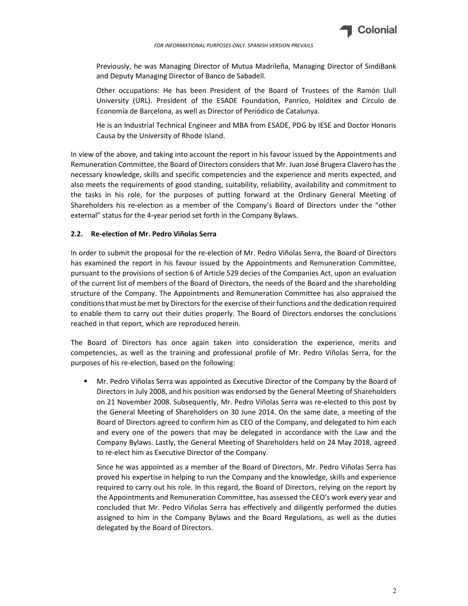

Previously, he was Managing Director of Mutua Madrileña, Managing Director of SindiBank and Deputy Managing Director of Banco de Sabadell.

Other occupations: He has been President of the Board of Trustees of the Ramón Llull University (URL). President of the ESADE Foundation, Panrico, Holditex and Círculo de Economía de Barcelona, as well as Director of Periódico de Catalunya.

He is an Industrial Technical Engineer and MBA from ESADE, PDG by IESE and Doctor Honoris Causa by the University of Rhode Island.

In view of the above, and taking into account the report in his favour issued by the Appointments and Remuneration Committee, the Board of Directors considers that Mr. Juan José Brugera Clavero has the necessary knowledge, skills and specific competencies and the experience and merits expected, and also meets the requirements of good standing, suitability, reliability, availability and commitment to the tasks in his role, for the purposes of putting forward at the Ordinary General Meeting of Shareholders his re-election as a member of the Company's Board of Directors under the "other external" status for the 4-year period set forth in the Company Bylaws.

### 2.2. Re-election of Mr. Pedro Viñolas Serra

In order to submit the proposal for the re-election of Mr. Pedro Viñolas Serra, the Board of Directors has examined the report in his favour issued by the Appointments and Remuneration Committee, pursuant to the provisions of section 6 of Article 529 decies of the Companies Act, upon an evaluation of the current list of members of the Board of Directors, the needs of the Board and the shareholding structure of the Company. The Appointments and Remuneration Committee has also appraised the conditions that must be met by Directors for the exercise of their functions and the dedication required to enable them to carry out their duties properly. The Board of Directors endorses the conclusions reached in that report, which are reproduced herein.

The Board of Directors has once again taken into consideration the experience, merits and competencies, as well as the training and professional profile of Mr. Pedro Viñolas Serra, for the purposes of his re-election, based on the following:

 Mr. Pedro Viñolas Serra was appointed as Executive Director of the Company by the Board of Directors in July 2008, and his position was endorsed by the General Meeting of Shareholders on 21 November 2008. Subsequently, Mr. Pedro Viñolas Serra was re-elected to this post by the General Meeting of Shareholders on 30 June 2014. On the same date, a meeting of the Board of Directors agreed to confirm him as CEO of the Company, and delegated to him each and every one of the powers that may be delegated in accordance with the Law and the Company Bylaws. Lastly, the General Meeting of Shareholders held on 24 May 2018, agreed to re-elect him as Executive Director of the Company.

Since he was appointed as a member of the Board of Directors, Mr. Pedro Viñolas Serra has proved his expertise in helping to run the Company and the knowledge, skills and experience required to carry out his role. In this regard, the Board of Directors, relying on the report by the Appointments and Remuneration Committee, has assessed the CEO's work every year and concluded that Mr. Pedro Viñolas Serra has effectively and diligently performed the duties assigned to him in the Company Bylaws and the Board Regulations, as well as the duties delegated by the Board of Directors.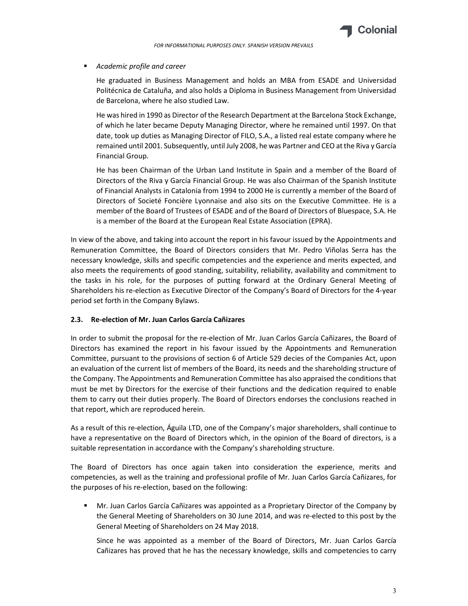

### Academic profile and career

He graduated in Business Management and holds an MBA from ESADE and Universidad Politécnica de Cataluña, and also holds a Diploma in Business Management from Universidad de Barcelona, where he also studied Law.

He was hired in 1990 as Director of the Research Department at the Barcelona Stock Exchange, of which he later became Deputy Managing Director, where he remained until 1997. On that date, took up duties as Managing Director of FILO, S.A., a listed real estate company where he remained until 2001. Subsequently, until July 2008, he was Partner and CEO at the Riva y García Financial Group.

He has been Chairman of the Urban Land Institute in Spain and a member of the Board of Directors of the Riva y García Financial Group. He was also Chairman of the Spanish Institute of Financial Analysts in Catalonia from 1994 to 2000 He is currently a member of the Board of Directors of Societé Foncière Lyonnaise and also sits on the Executive Committee. He is a member of the Board of Trustees of ESADE and of the Board of Directors of Bluespace, S.A. He is a member of the Board at the European Real Estate Association (EPRA).

In view of the above, and taking into account the report in his favour issued by the Appointments and Remuneration Committee, the Board of Directors considers that Mr. Pedro Viñolas Serra has the necessary knowledge, skills and specific competencies and the experience and merits expected, and also meets the requirements of good standing, suitability, reliability, availability and commitment to the tasks in his role, for the purposes of putting forward at the Ordinary General Meeting of Shareholders his re-election as Executive Director of the Company's Board of Directors for the 4-year period set forth in the Company Bylaws.

## 2.3. Re-election of Mr. Juan Carlos García Cañizares

In order to submit the proposal for the re-election of Mr. Juan Carlos García Cañizares, the Board of Directors has examined the report in his favour issued by the Appointments and Remuneration Committee, pursuant to the provisions of section 6 of Article 529 decies of the Companies Act, upon an evaluation of the current list of members of the Board, its needs and the shareholding structure of the Company. The Appointments and Remuneration Committee has also appraised the conditions that must be met by Directors for the exercise of their functions and the dedication required to enable them to carry out their duties properly. The Board of Directors endorses the conclusions reached in that report, which are reproduced herein.

As a result of this re-election, Águila LTD, one of the Company's major shareholders, shall continue to have a representative on the Board of Directors which, in the opinion of the Board of directors, is a suitable representation in accordance with the Company's shareholding structure.

The Board of Directors has once again taken into consideration the experience, merits and competencies, as well as the training and professional profile of Mr. Juan Carlos García Cañizares, for the purposes of his re-election, based on the following:

 Mr. Juan Carlos García Cañizares was appointed as a Proprietary Director of the Company by the General Meeting of Shareholders on 30 June 2014, and was re-elected to this post by the General Meeting of Shareholders on 24 May 2018.

Since he was appointed as a member of the Board of Directors, Mr. Juan Carlos García Cañizares has proved that he has the necessary knowledge, skills and competencies to carry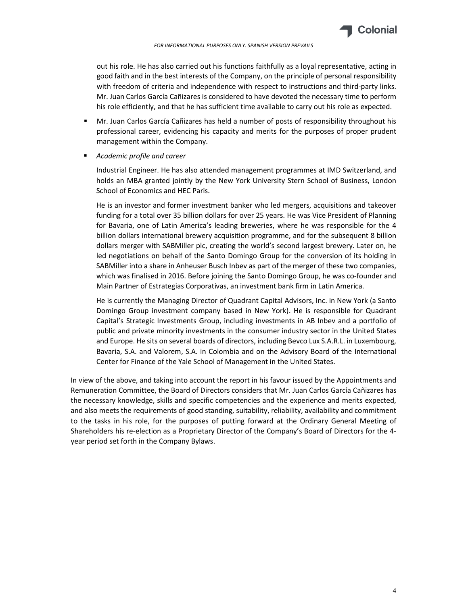

out his role. He has also carried out his functions faithfully as a loyal representative, acting in good faith and in the best interests of the Company, on the principle of personal responsibility with freedom of criteria and independence with respect to instructions and third-party links. Mr. Juan Carlos García Cañizares is considered to have devoted the necessary time to perform his role efficiently, and that he has sufficient time available to carry out his role as expected.

- Mr. Juan Carlos García Cañizares has held a number of posts of responsibility throughout his professional career, evidencing his capacity and merits for the purposes of proper prudent management within the Company.
- Academic profile and career

Industrial Engineer. He has also attended management programmes at IMD Switzerland, and holds an MBA granted jointly by the New York University Stern School of Business, London School of Economics and HEC Paris.

He is an investor and former investment banker who led mergers, acquisitions and takeover funding for a total over 35 billion dollars for over 25 years. He was Vice President of Planning for Bavaria, one of Latin America's leading breweries, where he was responsible for the 4 billion dollars international brewery acquisition programme, and for the subsequent 8 billion dollars merger with SABMiller plc, creating the world's second largest brewery. Later on, he led negotiations on behalf of the Santo Domingo Group for the conversion of its holding in SABMiller into a share in Anheuser Busch Inbev as part of the merger of these two companies, which was finalised in 2016. Before joining the Santo Domingo Group, he was co-founder and Main Partner of Estrategias Corporativas, an investment bank firm in Latin America.

He is currently the Managing Director of Quadrant Capital Advisors, Inc. in New York (a Santo Domingo Group investment company based in New York). He is responsible for Quadrant Capital's Strategic Investments Group, including investments in AB Inbev and a portfolio of public and private minority investments in the consumer industry sector in the United States and Europe. He sits on several boards of directors, including Bevco Lux S.A.R.L. in Luxembourg, Bavaria, S.A. and Valorem, S.A. in Colombia and on the Advisory Board of the International Center for Finance of the Yale School of Management in the United States.

In view of the above, and taking into account the report in his favour issued by the Appointments and Remuneration Committee, the Board of Directors considers that Mr. Juan Carlos García Cañizares has the necessary knowledge, skills and specific competencies and the experience and merits expected, and also meets the requirements of good standing, suitability, reliability, availability and commitment to the tasks in his role, for the purposes of putting forward at the Ordinary General Meeting of Shareholders his re-election as a Proprietary Director of the Company's Board of Directors for the 4 year period set forth in the Company Bylaws.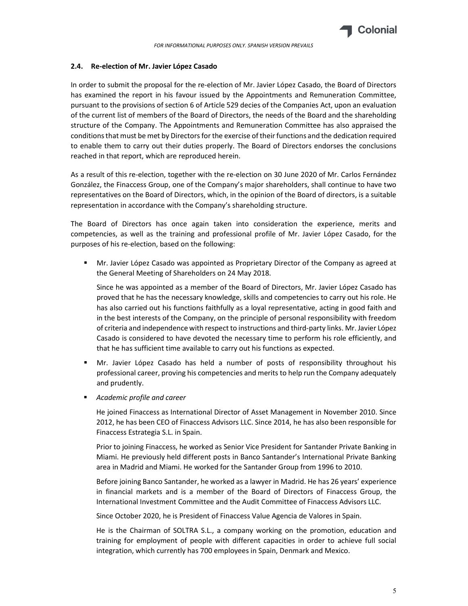

#### 2.4. Re-election of Mr. Javier López Casado

In order to submit the proposal for the re-election of Mr. Javier López Casado, the Board of Directors has examined the report in his favour issued by the Appointments and Remuneration Committee, pursuant to the provisions of section 6 of Article 529 decies of the Companies Act, upon an evaluation of the current list of members of the Board of Directors, the needs of the Board and the shareholding structure of the Company. The Appointments and Remuneration Committee has also appraised the conditions that must be met by Directors for the exercise of their functions and the dedication required to enable them to carry out their duties properly. The Board of Directors endorses the conclusions reached in that report, which are reproduced herein.

As a result of this re-election, together with the re-election on 30 June 2020 of Mr. Carlos Fernández González, the Finaccess Group, one of the Company's major shareholders, shall continue to have two representatives on the Board of Directors, which, in the opinion of the Board of directors, is a suitable representation in accordance with the Company's shareholding structure.

The Board of Directors has once again taken into consideration the experience, merits and competencies, as well as the training and professional profile of Mr. Javier López Casado, for the purposes of his re-election, based on the following:

 Mr. Javier López Casado was appointed as Proprietary Director of the Company as agreed at the General Meeting of Shareholders on 24 May 2018.

Since he was appointed as a member of the Board of Directors, Mr. Javier López Casado has proved that he has the necessary knowledge, skills and competencies to carry out his role. He has also carried out his functions faithfully as a loyal representative, acting in good faith and in the best interests of the Company, on the principle of personal responsibility with freedom of criteria and independence with respect to instructions and third-party links. Mr. Javier López Casado is considered to have devoted the necessary time to perform his role efficiently, and that he has sufficient time available to carry out his functions as expected.

- Mr. Javier López Casado has held a number of posts of responsibility throughout his professional career, proving his competencies and merits to help run the Company adequately and prudently.
- Academic profile and career

He joined Finaccess as International Director of Asset Management in November 2010. Since 2012, he has been CEO of Finaccess Advisors LLC. Since 2014, he has also been responsible for Finaccess Estrategia S.L. in Spain.

Prior to joining Finaccess, he worked as Senior Vice President for Santander Private Banking in Miami. He previously held different posts in Banco Santander's International Private Banking area in Madrid and Miami. He worked for the Santander Group from 1996 to 2010.

Before joining Banco Santander, he worked as a lawyer in Madrid. He has 26 years' experience in financial markets and is a member of the Board of Directors of Finaccess Group, the International Investment Committee and the Audit Committee of Finaccess Advisors LLC.

Since October 2020, he is President of Finaccess Value Agencia de Valores in Spain.

He is the Chairman of SOLTRA S.L., a company working on the promotion, education and training for employment of people with different capacities in order to achieve full social integration, which currently has 700 employees in Spain, Denmark and Mexico.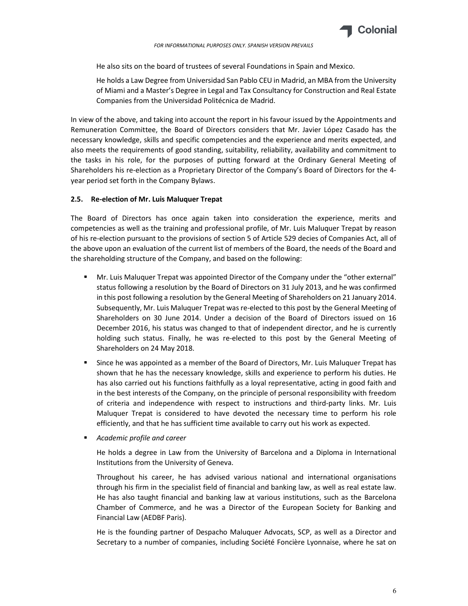

He also sits on the board of trustees of several Foundations in Spain and Mexico.

He holds a Law Degree from Universidad San Pablo CEU in Madrid, an MBA from the University of Miami and a Master's Degree in Legal and Tax Consultancy for Construction and Real Estate Companies from the Universidad Politécnica de Madrid.

In view of the above, and taking into account the report in his favour issued by the Appointments and Remuneration Committee, the Board of Directors considers that Mr. Javier López Casado has the necessary knowledge, skills and specific competencies and the experience and merits expected, and also meets the requirements of good standing, suitability, reliability, availability and commitment to the tasks in his role, for the purposes of putting forward at the Ordinary General Meeting of Shareholders his re-election as a Proprietary Director of the Company's Board of Directors for the 4 year period set forth in the Company Bylaws.

### 2.5. Re-election of Mr. Luis Maluquer Trepat

The Board of Directors has once again taken into consideration the experience, merits and competencies as well as the training and professional profile, of Mr. Luis Maluquer Trepat by reason of his re-election pursuant to the provisions of section 5 of Article 529 decies of Companies Act, all of the above upon an evaluation of the current list of members of the Board, the needs of the Board and the shareholding structure of the Company, and based on the following:

- Mr. Luis Maluquer Trepat was appointed Director of the Company under the "other external" status following a resolution by the Board of Directors on 31 July 2013, and he was confirmed in this post following a resolution by the General Meeting of Shareholders on 21 January 2014. Subsequently, Mr. Luis Maluquer Trepat was re-elected to this post by the General Meeting of Shareholders on 30 June 2014. Under a decision of the Board of Directors issued on 16 December 2016, his status was changed to that of independent director, and he is currently holding such status. Finally, he was re-elected to this post by the General Meeting of Shareholders on 24 May 2018.
- Since he was appointed as a member of the Board of Directors, Mr. Luis Maluquer Trepat has shown that he has the necessary knowledge, skills and experience to perform his duties. He has also carried out his functions faithfully as a loyal representative, acting in good faith and in the best interests of the Company, on the principle of personal responsibility with freedom of criteria and independence with respect to instructions and third-party links. Mr. Luis Maluquer Trepat is considered to have devoted the necessary time to perform his role efficiently, and that he has sufficient time available to carry out his work as expected.
- Academic profile and career

He holds a degree in Law from the University of Barcelona and a Diploma in International Institutions from the University of Geneva.

Throughout his career, he has advised various national and international organisations through his firm in the specialist field of financial and banking law, as well as real estate law. He has also taught financial and banking law at various institutions, such as the Barcelona Chamber of Commerce, and he was a Director of the European Society for Banking and Financial Law (AEDBF Paris).

He is the founding partner of Despacho Maluquer Advocats, SCP, as well as a Director and Secretary to a number of companies, including Société Foncière Lyonnaise, where he sat on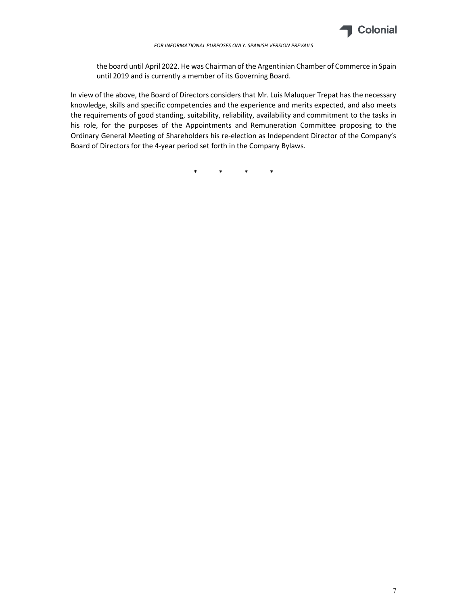

the board until April 2022. He was Chairman of the Argentinian Chamber of Commerce in Spain until 2019 and is currently a member of its Governing Board.

In view of the above, the Board of Directors considers that Mr. Luis Maluquer Trepat has the necessary knowledge, skills and specific competencies and the experience and merits expected, and also meets the requirements of good standing, suitability, reliability, availability and commitment to the tasks in his role, for the purposes of the Appointments and Remuneration Committee proposing to the Ordinary General Meeting of Shareholders his re-election as Independent Director of the Company's Board of Directors for the 4-year period set forth in the Company Bylaws.

\* \* \* \*